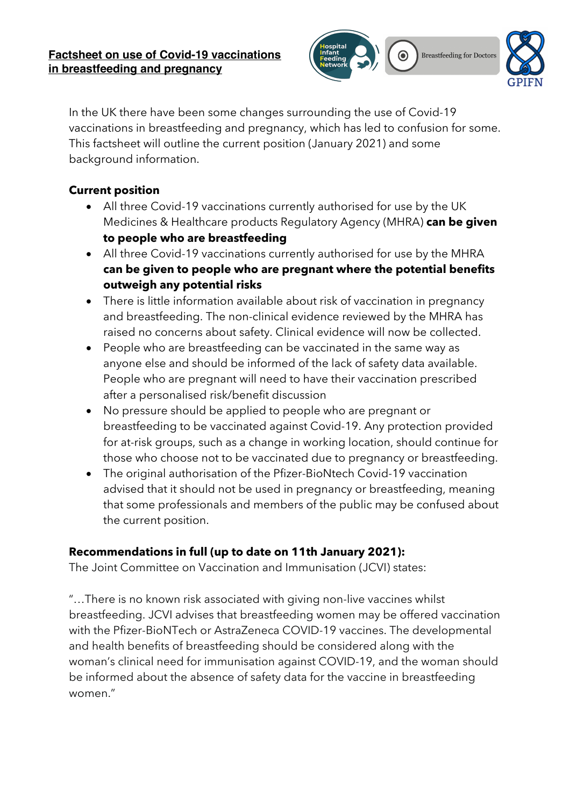

In the UK there have been some changes surrounding the use of Covid-19 vaccinations in breastfeeding and pregnancy, which has led to confusion for some. This factsheet will outline the current position (January 2021) and some background information.

# **Current position**

- All three Covid-19 vaccinations currently authorised for use by the UK Medicines & Healthcare products Regulatory Agency (MHRA) **can be given to people who are breastfeeding**
- All three Covid-19 vaccinations currently authorised for use by the MHRA **can be given to people who are pregnant where the potential benefits outweigh any potential risks**
- There is little information available about risk of vaccination in pregnancy and breastfeeding. The non-clinical evidence reviewed by the MHRA has raised no concerns about safety. Clinical evidence will now be collected.
- People who are breastfeeding can be vaccinated in the same way as anyone else and should be informed of the lack of safety data available. People who are pregnant will need to have their vaccination prescribed after a personalised risk/benefit discussion
- No pressure should be applied to people who are pregnant or breastfeeding to be vaccinated against Covid-19. Any protection provided for at-risk groups, such as a change in working location, should continue for those who choose not to be vaccinated due to pregnancy or breastfeeding.
- The original authorisation of the Pfizer-BioNtech Covid-19 vaccination advised that it should not be used in pregnancy or breastfeeding, meaning that some professionals and members of the public may be confused about the current position.

## **Recommendations in full (up to date on 11th January 2021):**

The Joint Committee on Vaccination and Immunisation (JCVI) states:

"…There is no known risk associated with giving non-live vaccines whilst breastfeeding. JCVI advises that breastfeeding women may be offered vaccination with the Pfizer-BioNTech or AstraZeneca COVID-19 vaccines. The developmental and health benefits of breastfeeding should be considered along with the woman's clinical need for immunisation against COVID-19, and the woman should be informed about the absence of safety data for the vaccine in breastfeeding women."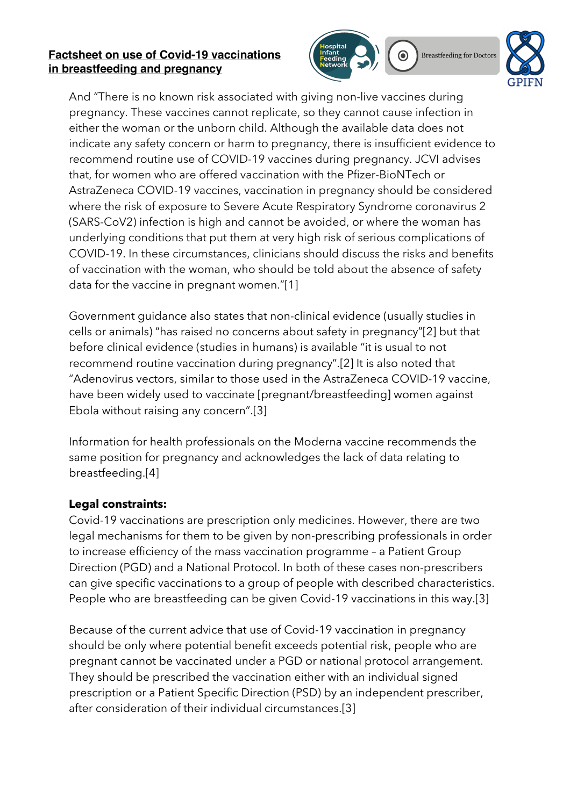#### **Factsheet on use of Covid-19 vaccinations in breastfeeding and pregnancy**



**Breastfeeding for Doctors** 



And "There is no known risk associated with giving non-live vaccines during pregnancy. These vaccines cannot replicate, so they cannot cause infection in either the woman or the unborn child. Although the available data does not indicate any safety concern or harm to pregnancy, there is insufficient evidence to recommend routine use of COVID-19 vaccines during pregnancy. JCVI advises that, for women who are offered vaccination with the Pfizer-BioNTech or AstraZeneca COVID-19 vaccines, vaccination in pregnancy should be considered where the risk of exposure to Severe Acute Respiratory Syndrome coronavirus 2 (SARS-CoV2) infection is high and cannot be avoided, or where the woman has underlying conditions that put them at very high risk of serious complications of COVID-19. In these circumstances, clinicians should discuss the risks and benefits of vaccination with the woman, who should be told about the absence of safety data for the vaccine in pregnant women."[1]

Government guidance also states that non-clinical evidence (usually studies in cells or animals) "has raised no concerns about safety in pregnancy"[2] but that before clinical evidence (studies in humans) is available "it is usual to not recommend routine vaccination during pregnancy".[2] It is also noted that "Adenovirus vectors, similar to those used in the AstraZeneca COVID-19 vaccine, have been widely used to vaccinate [pregnant/breastfeeding] women against Ebola without raising any concern".[3]

Information for health professionals on the Moderna vaccine recommends the same position for pregnancy and acknowledges the lack of data relating to breastfeeding.[4]

## **Legal constraints:**

Covid-19 vaccinations are prescription only medicines. However, there are two legal mechanisms for them to be given by non-prescribing professionals in order to increase efficiency of the mass vaccination programme – a Patient Group Direction (PGD) and a National Protocol. In both of these cases non-prescribers can give specific vaccinations to a group of people with described characteristics. People who are breastfeeding can be given Covid-19 vaccinations in this way.[3]

Because of the current advice that use of Covid-19 vaccination in pregnancy should be only where potential benefit exceeds potential risk, people who are pregnant cannot be vaccinated under a PGD or national protocol arrangement. They should be prescribed the vaccination either with an individual signed prescription or a Patient Specific Direction (PSD) by an independent prescriber, after consideration of their individual circumstances.[3]